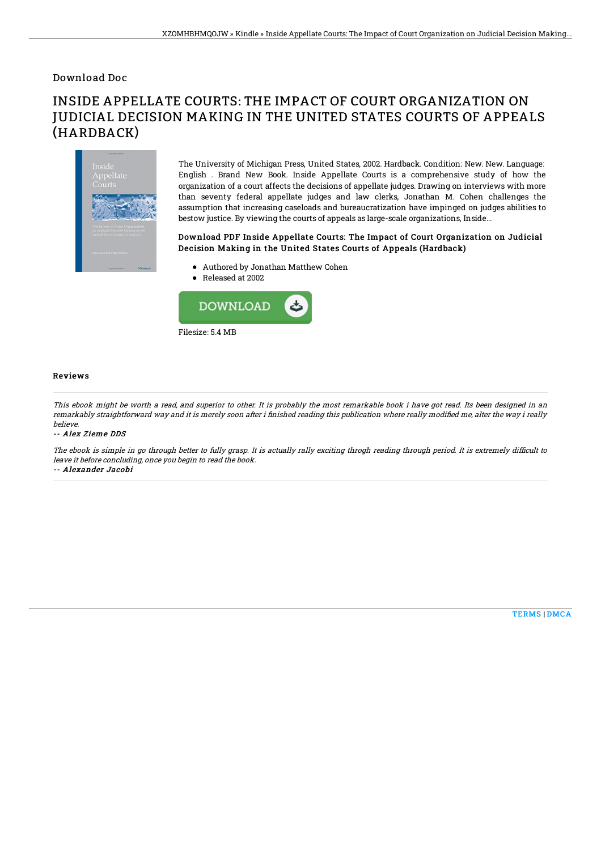## Download Doc

# INSIDE APPELLATE COURTS: THE IMPACT OF COURT ORGANIZATION ON JUDICIAL DECISION MAKING IN THE UNITED STATES COURTS OF APPEALS (HARDBACK)



The University of Michigan Press, United States, 2002. Hardback. Condition: New. New. Language: English . Brand New Book. Inside Appellate Courts is a comprehensive study of how the organization of a court affects the decisions of appellate judges. Drawing on interviews with more than seventy federal appellate judges and law clerks, Jonathan M. Cohen challenges the assumption that increasing caseloads and bureaucratization have impinged on judges abilities to bestow justice. By viewing the courts of appeals as large-scale organizations, Inside...

### Download PDF Inside Appellate Courts: The Impact of Court Organization on Judicial Decision Making in the United States Courts of Appeals (Hardback)

- Authored by Jonathan Matthew Cohen
- Released at 2002



#### Reviews

This ebook might be worth <sup>a</sup> read, and superior to other. It is probably the most remarkable book i have got read. Its been designed in an remarkably straightforward way and it is merely soon after i finished reading this publication where really modified me, alter the way i really believe.

#### -- Alex Zieme DDS

The ebook is simple in go through better to fully grasp. It is actually rally exciting throgh reading through period. It is extremely difficult to leave it before concluding, once you begin to read the book.

-- Alexander Jacobi